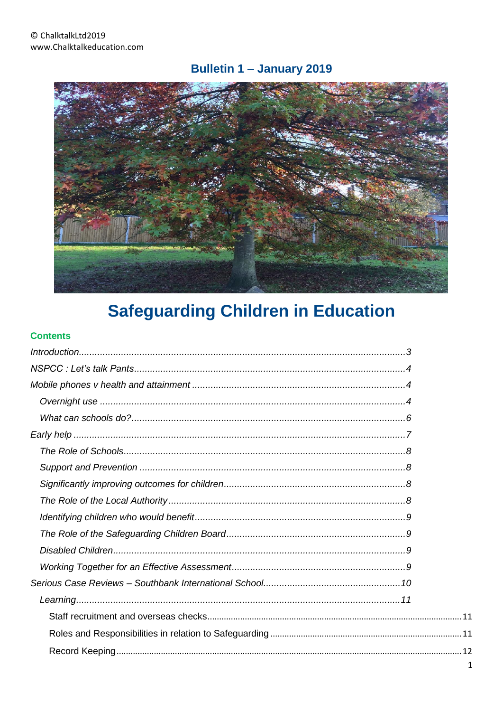# Bulletin 1 - January 2019



# **Safeguarding Children in Education**

#### **Contents**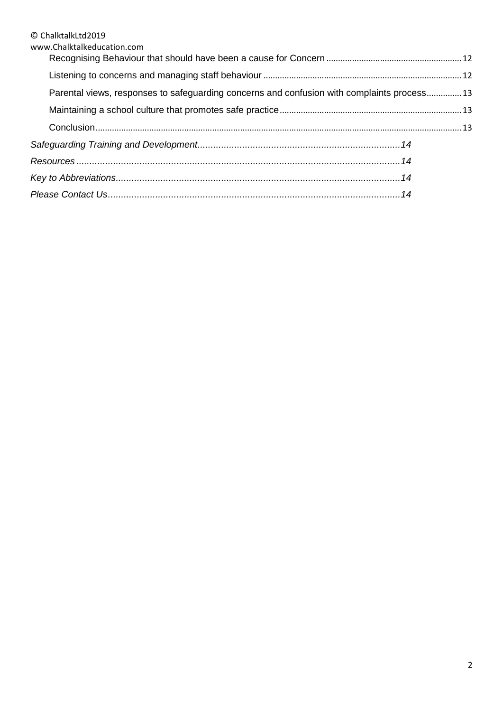| www.Chalktalkeducation.com                                                                  |  |
|---------------------------------------------------------------------------------------------|--|
|                                                                                             |  |
| Parental views, responses to safeguarding concerns and confusion with complaints process 13 |  |
|                                                                                             |  |
|                                                                                             |  |
|                                                                                             |  |
|                                                                                             |  |
|                                                                                             |  |
|                                                                                             |  |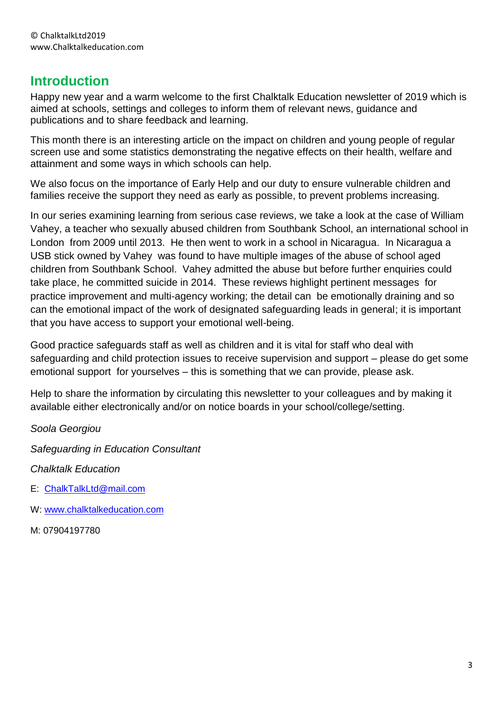# <span id="page-2-0"></span>**Introduction**

Happy new year and a warm welcome to the first Chalktalk Education newsletter of 2019 which is aimed at schools, settings and colleges to inform them of relevant news, guidance and publications and to share feedback and learning.

This month there is an interesting article on the impact on children and young people of regular screen use and some statistics demonstrating the negative effects on their health, welfare and attainment and some ways in which schools can help.

We also focus on the importance of Early Help and our duty to ensure vulnerable children and families receive the support they need as early as possible, to prevent problems increasing.

In our series examining learning from serious case reviews, we take a look at the case of William Vahey, a teacher who sexually abused children from Southbank School, an international school in London from 2009 until 2013. He then went to work in a school in Nicaragua. In Nicaragua a USB stick owned by Vahey was found to have multiple images of the abuse of school aged children from Southbank School. Vahey admitted the abuse but before further enquiries could take place, he committed suicide in 2014. These reviews highlight pertinent messages for practice improvement and multi-agency working; the detail can be emotionally draining and so can the emotional impact of the work of designated safeguarding leads in general; it is important that you have access to support your emotional well-being.

Good practice safeguards staff as well as children and it is vital for staff who deal with safeguarding and child protection issues to receive supervision and support – please do get some emotional support for yourselves – this is something that we can provide, please ask.

Help to share the information by circulating this newsletter to your colleagues and by making it available either electronically and/or on notice boards in your school/college/setting.

*Soola Georgiou*

*Safeguarding in Education Consultant*

*Chalktalk Education*

- E: [ChalkTalkLtd@mail.com](mailto:ChalkTalkLtd@mail.com)
- W: [www.chalktalkeducation.com](http://www.chalktalkeducation.com/)

M: 07904197780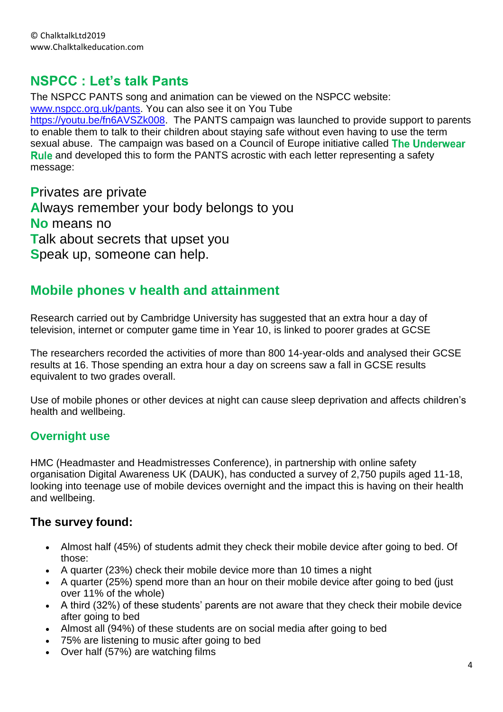# <span id="page-3-0"></span>**NSPCC : Let's talk Pants**

The NSPCC PANTS song and animation can be viewed on the NSPCC website: [www.nspcc.org.uk/pants.](http://www.nspcc.org.uk/pants) You can also see it on You Tube [https://youtu.be/fn6AVSZk008.](https://youtu.be/fn6AVSZk008) The PANTS campaign was launched to provide support to parents to enable them to talk to their children about staying safe without even having to use the term sexual abuse. The campaign was based on a Council of Europe initiative called The Underwear **Rule** and developed this to form the PANTS acrostic with each letter representing a safety message:

**P**rivates are private **A**lways remember your body belongs to you **No** means no **T**alk about secrets that upset you **S**peak up, someone can help.

# <span id="page-3-1"></span>**Mobile phones v health and attainment**

Research carried out by Cambridge University has suggested that an extra hour a day of television, internet or computer game time in Year 10, is linked to poorer grades at GCSE

The researchers recorded the activities of more than 800 14-year-olds and analysed their GCSE results at 16. Those spending an extra hour a day on screens saw a fall in GCSE results equivalent to two grades overall.

Use of mobile phones or other devices at night can cause sleep deprivation and affects children's health and wellbeing.

### <span id="page-3-2"></span>**Overnight use**

HMC (Headmaster and Headmistresses Conference), in partnership with online safety organisation Digital Awareness UK (DAUK), has conducted a survey of 2,750 pupils aged 11-18, looking into teenage use of mobile devices overnight and the impact this is having on their health and wellbeing.

### **The survey found:**

- Almost half (45%) of students admit they check their mobile device after going to bed. Of those:
- A quarter (23%) check their mobile device more than 10 times a night
- A quarter (25%) spend more than an hour on their mobile device after going to bed (just over 11% of the whole)
- A third (32%) of these students' parents are not aware that they check their mobile device after going to bed
- Almost all (94%) of these students are on social media after going to bed
- 75% are listening to music after going to bed
- Over half (57%) are watching films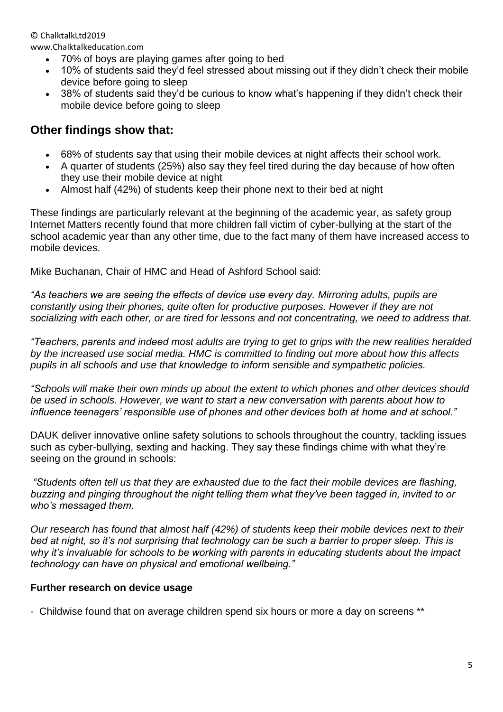www.Chalktalkeducation.com

- 70% of boys are playing games after going to bed
- 10% of students said they'd feel stressed about missing out if they didn't check their mobile device before going to sleep
- 38% of students said they'd be curious to know what's happening if they didn't check their mobile device before going to sleep

### **Other findings show that:**

- 68% of students say that using their mobile devices at night affects their school work.
- A quarter of students (25%) also say they feel tired during the day because of how often they use their mobile device at night
- Almost half (42%) of students keep their phone next to their bed at night

These findings are particularly relevant at the beginning of the academic year, as safety group Internet Matters recently found that more children fall victim of cyber-bullying at the start of the school academic year than any other time, due to the fact many of them have increased access to mobile devices.

Mike Buchanan, Chair of HMC and Head of Ashford School said:

*"As teachers we are seeing the effects of device use every day. Mirroring adults, pupils are constantly using their phones, quite often for productive purposes. However if they are not socializing with each other, or are tired for lessons and not concentrating, we need to address that.*

*"Teachers, parents and indeed most adults are trying to get to grips with the new realities heralded by the increased use social media. HMC is committed to finding out more about how this affects pupils in all schools and use that knowledge to inform sensible and sympathetic policies.*

*"Schools will make their own minds up about the extent to which phones and other devices should be used in schools. However, we want to start a new conversation with parents about how to influence teenagers' responsible use of phones and other devices both at home and at school."*

DAUK deliver innovative online safety solutions to schools throughout the country, tackling issues such as cyber-bullying, sexting and hacking. They say these findings chime with what they're seeing on the ground in schools:

*"Students often tell us that they are exhausted due to the fact their mobile devices are flashing, buzzing and pinging throughout the night telling them what they've been tagged in, invited to or who's messaged them.* 

*Our research has found that almost half (42%) of students keep their mobile devices next to their*  bed at night, so it's not surprising that technology can be such a barrier to proper sleep. This is *why it's invaluable for schools to be working with parents in educating students about the impact technology can have on physical and emotional wellbeing."*

#### **Further research on device usage**

- Childwise found that on average children spend six hours or more a day on screens \*\*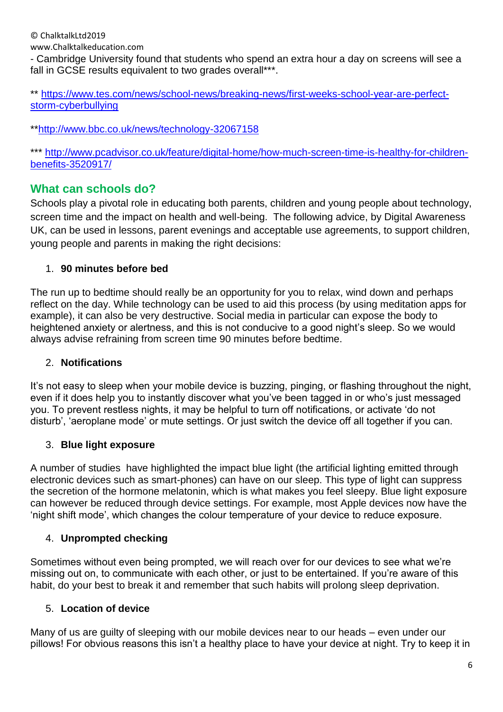www.Chalktalkeducation.com

- Cambridge University found that students who spend an extra hour a day on screens will see a fall in GCSE results equivalent to two grades overall\*\*\*.

\*\* [https://www.tes.com/news/school-news/breaking-news/first-weeks-school-year-are-perfect](https://www.tes.com/news/school-news/breaking-news/first-weeks-school-year-are-perfect-storm-cyberbullying)[storm-cyberbullying](https://www.tes.com/news/school-news/breaking-news/first-weeks-school-year-are-perfect-storm-cyberbullying)

\*[\\*http://www.bbc.co.uk/news/technology-32067158](http://www.bbc.co.uk/news/technology-32067158)

\*\*\* [http://www.pcadvisor.co.uk/feature/digital-home/how-much-screen-time-is-healthy-for-children](http://www.pcadvisor.co.uk/feature/digital-home/how-much-screen-time-is-healthy-for-children-benefits-3520917/)[benefits-3520917/](http://www.pcadvisor.co.uk/feature/digital-home/how-much-screen-time-is-healthy-for-children-benefits-3520917/)

### <span id="page-5-0"></span>**What can schools do?**

Schools play a pivotal role in educating both parents, children and young people about technology, screen time and the impact on health and well-being. The following advice, by Digital Awareness UK, can be used in lessons, parent evenings and acceptable use agreements, to support children, young people and parents in making the right decisions:

#### 1. **90 minutes before bed**

The run up to bedtime should really be an opportunity for you to relax, wind down and perhaps reflect on the day. While technology can be used to aid this process (by using meditation apps for example), it can also be very destructive. Social media in particular can expose the body to heightened anxiety or alertness, and this is not conducive to a good night's sleep. So we would always advise refraining from screen time 90 minutes before bedtime.

#### 2. **Notifications**

It's not easy to sleep when your mobile device is buzzing, pinging, or flashing throughout the night, even if it does help you to instantly discover what you've been tagged in or who's just messaged you. To prevent restless nights, it may be helpful to turn off notifications, or activate 'do not disturb', 'aeroplane mode' or mute settings. Or just switch the device off all together if you can.

#### 3. **Blue light exposure**

A number of studies have highlighted the impact blue light (the artificial lighting emitted through electronic devices such as smart-phones) can have on our sleep. This type of light can suppress the secretion of the hormone melatonin, which is what makes you feel sleepy. Blue light exposure can however be reduced through device settings. For example, most Apple devices now have the 'night shift mode', which changes the colour temperature of your device to reduce exposure.

#### 4. **Unprompted checking**

Sometimes without even being prompted, we will reach over for our devices to see what we're missing out on, to communicate with each other, or just to be entertained. If you're aware of this habit, do your best to break it and remember that such habits will prolong sleep deprivation.

#### 5. **Location of device**

Many of us are guilty of sleeping with our mobile devices near to our heads – even under our pillows! For obvious reasons this isn't a healthy place to have your device at night. Try to keep it in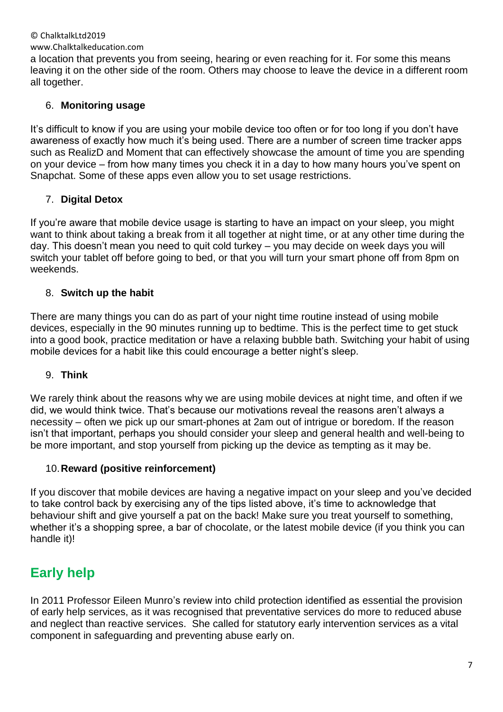#### www.Chalktalkeducation.com

a location that prevents you from seeing, hearing or even reaching for it. For some this means leaving it on the other side of the room. Others may choose to leave the device in a different room all together.

#### 6. **Monitoring usage**

It's difficult to know if you are using your mobile device too often or for too long if you don't have awareness of exactly how much it's being used. There are a number of screen time tracker apps such as RealizD and Moment that can effectively showcase the amount of time you are spending on your device – from how many times you check it in a day to how many hours you've spent on Snapchat. Some of these apps even allow you to set usage restrictions.

#### 7. **Digital Detox**

If you're aware that mobile device usage is starting to have an impact on your sleep, you might want to think about taking a break from it all together at night time, or at any other time during the day. This doesn't mean you need to quit cold turkey – you may decide on week days you will switch your tablet off before going to bed, or that you will turn your smart phone off from 8pm on weekends.

#### 8. **Switch up the habit**

There are many things you can do as part of your night time routine instead of using mobile devices, especially in the 90 minutes running up to bedtime. This is the perfect time to get stuck into a good book, practice meditation or have a relaxing bubble bath. Switching your habit of using mobile devices for a habit like this could encourage a better night's sleep.

#### 9. **Think**

We rarely think about the reasons why we are using mobile devices at night time, and often if we did, we would think twice. That's because our motivations reveal the reasons aren't always a necessity – often we pick up our smart-phones at 2am out of intrigue or boredom. If the reason isn't that important, perhaps you should consider your sleep and general health and well-being to be more important, and stop yourself from picking up the device as tempting as it may be.

#### 10.**Reward (positive reinforcement)**

If you discover that mobile devices are having a negative impact on your sleep and you've decided to take control back by exercising any of the tips listed above, it's time to acknowledge that behaviour shift and give yourself a pat on the back! Make sure you treat yourself to something, whether it's a shopping spree, a bar of chocolate, or the latest mobile device (if you think you can handle it)!

# <span id="page-6-0"></span>**Early help**

In 2011 Professor Eileen Munro's review into child protection identified as essential the provision of early help services, as it was recognised that preventative services do more to reduced abuse and neglect than reactive services. She called for statutory early intervention services as a vital component in safeguarding and preventing abuse early on.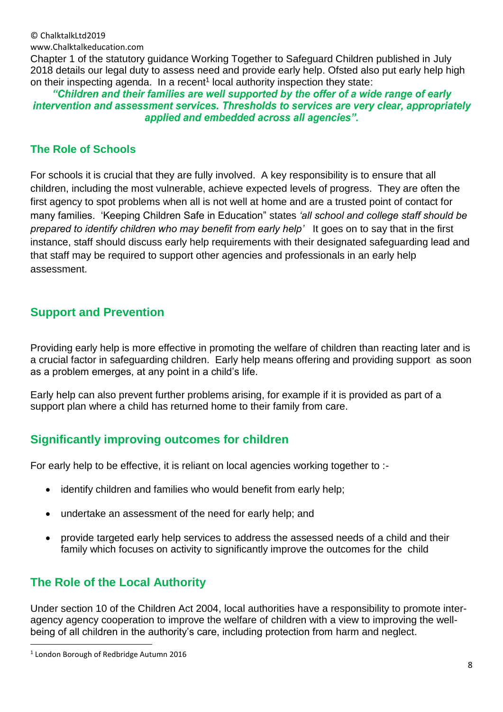© ChalktalkLtd2019 www.Chalktalkeducation.com

Chapter 1 of the statutory guidance Working Together to Safeguard Children published in July 2018 details our legal duty to assess need and provide early help. Ofsted also put early help high on their inspecting agenda. In a recent<sup>1</sup> local authority inspection they state:

"Children and their families are well supported by the offer of a wide range of early intervention and assessment services. Thresholds to services are very clear, appropriately applied and embedded across all agencies".

#### <span id="page-7-0"></span>**The Role of Schools**

For schools it is crucial that they are fully involved. A key responsibility is to ensure that all children, including the most vulnerable, achieve expected levels of progress. They are often the first agency to spot problems when all is not well at home and are a trusted point of contact for many families. 'Keeping Children Safe in Education" states *'all school and college staff should be prepared to identify children who may benefit from early help'* It goes on to say that in the first instance, staff should discuss early help requirements with their designated safeguarding lead and that staff may be required to support other agencies and professionals in an early help assessment.

### <span id="page-7-1"></span>**Support and Prevention**

Providing early help is more effective in promoting the welfare of children than reacting later and is a crucial factor in safeguarding children. Early help means offering and providing support as soon as a problem emerges, at any point in a child's life.

Early help can also prevent further problems arising, for example if it is provided as part of a support plan where a child has returned home to their family from care.

### <span id="page-7-2"></span>**Significantly improving outcomes for children**

For early help to be effective, it is reliant on local agencies working together to :-

- identify children and families who would benefit from early help;
- undertake an assessment of the need for early help; and
- provide targeted early help services to address the assessed needs of a child and their family which focuses on activity to significantly improve the outcomes for the child

### <span id="page-7-3"></span>**The Role of the Local Authority**

Under section 10 of the Children Act 2004, local authorities have a responsibility to promote interagency agency cooperation to improve the welfare of children with a view to improving the wellbeing of all children in the authority's care, including protection from harm and neglect.

**.** 

<sup>1</sup> London Borough of Redbridge Autumn 2016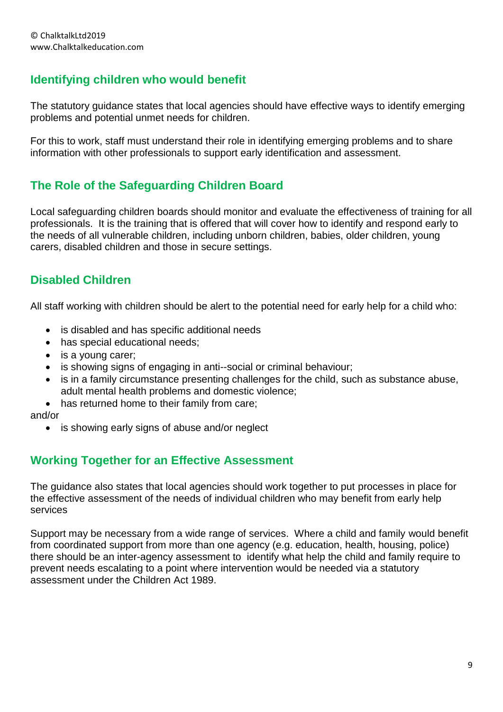### <span id="page-8-0"></span>**Identifying children who would benefit**

The statutory guidance states that local agencies should have effective ways to identify emerging problems and potential unmet needs for children.

For this to work, staff must understand their role in identifying emerging problems and to share information with other professionals to support early identification and assessment.

### <span id="page-8-1"></span>**The Role of the Safeguarding Children Board**

Local safeguarding children boards should monitor and evaluate the effectiveness of training for all professionals. It is the training that is offered that will cover how to identify and respond early to the needs of all vulnerable children, including unborn children, babies, older children, young carers, disabled children and those in secure settings.

### <span id="page-8-2"></span>**Disabled Children**

All staff working with children should be alert to the potential need for early help for a child who:

- is disabled and has specific additional needs
- has special educational needs;
- is a young carer;
- is showing signs of engaging in anti--social or criminal behaviour;
- is in a family circumstance presenting challenges for the child, such as substance abuse, adult mental health problems and domestic violence;
- has returned home to their family from care:

and/or

• is showing early signs of abuse and/or neglect

### <span id="page-8-3"></span>**Working Together for an Effective Assessment**

The guidance also states that local agencies should work together to put processes in place for the effective assessment of the needs of individual children who may benefit from early help services

Support may be necessary from a wide range of services. Where a child and family would benefit from coordinated support from more than one agency (e.g. education, health, housing, police) there should be an inter-agency assessment to identify what help the child and family require to prevent needs escalating to a point where intervention would be needed via a statutory assessment under the Children Act 1989.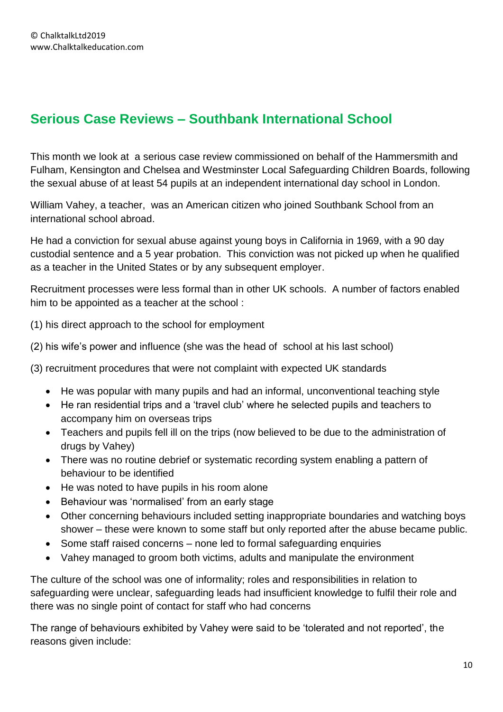# <span id="page-9-0"></span>**Serious Case Reviews – Southbank International School**

This month we look at a serious case review commissioned on behalf of the Hammersmith and Fulham, Kensington and Chelsea and Westminster Local Safeguarding Children Boards, following the sexual abuse of at least 54 pupils at an independent international day school in London.

William Vahey, a teacher, was an American citizen who joined Southbank School from an international school abroad.

He had a conviction for sexual abuse against young boys in California in 1969, with a 90 day custodial sentence and a 5 year probation. This conviction was not picked up when he qualified as a teacher in the United States or by any subsequent employer.

Recruitment processes were less formal than in other UK schools. A number of factors enabled him to be appointed as a teacher at the school :

(1) his direct approach to the school for employment

(2) his wife's power and influence (she was the head of school at his last school)

(3) recruitment procedures that were not complaint with expected UK standards

- He was popular with many pupils and had an informal, unconventional teaching style
- He ran residential trips and a 'travel club' where he selected pupils and teachers to accompany him on overseas trips
- Teachers and pupils fell ill on the trips (now believed to be due to the administration of drugs by Vahey)
- There was no routine debrief or systematic recording system enabling a pattern of behaviour to be identified
- He was noted to have pupils in his room alone
- Behaviour was 'normalised' from an early stage
- Other concerning behaviours included setting inappropriate boundaries and watching boys shower – these were known to some staff but only reported after the abuse became public.
- Some staff raised concerns none led to formal safeguarding enquiries
- Vahey managed to groom both victims, adults and manipulate the environment

The culture of the school was one of informality; roles and responsibilities in relation to safeguarding were unclear, safeguarding leads had insufficient knowledge to fulfil their role and there was no single point of contact for staff who had concerns

The range of behaviours exhibited by Vahey were said to be 'tolerated and not reported', the reasons given include: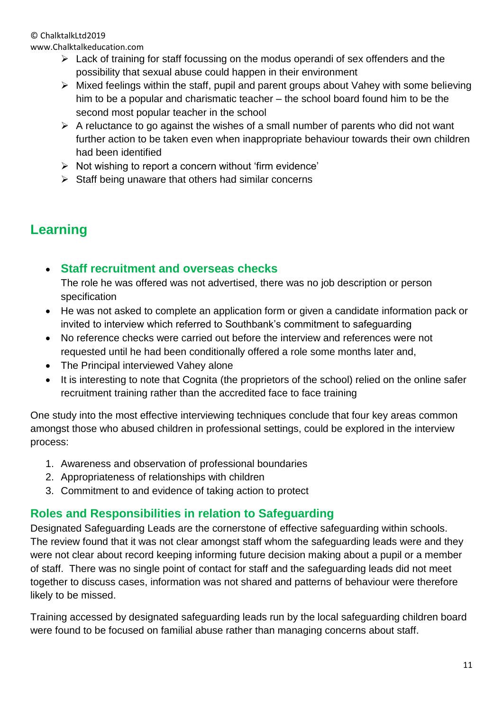www.Chalktalkeducation.com

- $\triangleright$  Lack of training for staff focussing on the modus operandi of sex offenders and the possibility that sexual abuse could happen in their environment
- ➢ Mixed feelings within the staff, pupil and parent groups about Vahey with some believing him to be a popular and charismatic teacher – the school board found him to be the second most popular teacher in the school
- $\triangleright$  A reluctance to go against the wishes of a small number of parents who did not want further action to be taken even when inappropriate behaviour towards their own children had been identified
- ➢ Not wishing to report a concern without 'firm evidence'
- ➢ Staff being unaware that others had similar concerns

# <span id="page-10-0"></span>**Learning**

<span id="page-10-1"></span>• **Staff recruitment and overseas checks**

The role he was offered was not advertised, there was no job description or person specification

- He was not asked to complete an application form or given a candidate information pack or invited to interview which referred to Southbank's commitment to safeguarding
- No reference checks were carried out before the interview and references were not requested until he had been conditionally offered a role some months later and,
- The Principal interviewed Vahey alone
- It is interesting to note that Cognita (the proprietors of the school) relied on the online safer recruitment training rather than the accredited face to face training

One study into the most effective interviewing techniques conclude that four key areas common amongst those who abused children in professional settings, could be explored in the interview process:

- 1. Awareness and observation of professional boundaries
- 2. Appropriateness of relationships with children
- 3. Commitment to and evidence of taking action to protect

### <span id="page-10-2"></span>**Roles and Responsibilities in relation to Safeguarding**

Designated Safeguarding Leads are the cornerstone of effective safeguarding within schools. The review found that it was not clear amongst staff whom the safeguarding leads were and they were not clear about record keeping informing future decision making about a pupil or a member of staff. There was no single point of contact for staff and the safeguarding leads did not meet together to discuss cases, information was not shared and patterns of behaviour were therefore likely to be missed.

Training accessed by designated safeguarding leads run by the local safeguarding children board were found to be focused on familial abuse rather than managing concerns about staff.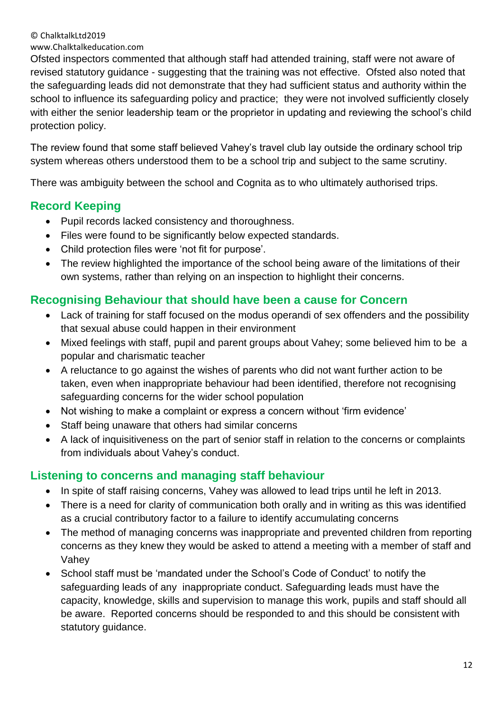www.Chalktalkeducation.com

Ofsted inspectors commented that although staff had attended training, staff were not aware of revised statutory guidance - suggesting that the training was not effective. Ofsted also noted that the safeguarding leads did not demonstrate that they had sufficient status and authority within the school to influence its safeguarding policy and practice; they were not involved sufficiently closely with either the senior leadership team or the proprietor in updating and reviewing the school's child protection policy.

The review found that some staff believed Vahey's travel club lay outside the ordinary school trip system whereas others understood them to be a school trip and subject to the same scrutiny.

There was ambiguity between the school and Cognita as to who ultimately authorised trips.

### <span id="page-11-0"></span>**Record Keeping**

- Pupil records lacked consistency and thoroughness.
- Files were found to be significantly below expected standards.
- Child protection files were 'not fit for purpose'.
- The review highlighted the importance of the school being aware of the limitations of their own systems, rather than relying on an inspection to highlight their concerns.

### <span id="page-11-1"></span>**Recognising Behaviour that should have been a cause for Concern**

- Lack of training for staff focused on the modus operandi of sex offenders and the possibility that sexual abuse could happen in their environment
- Mixed feelings with staff, pupil and parent groups about Vahey; some believed him to be a popular and charismatic teacher
- A reluctance to go against the wishes of parents who did not want further action to be taken, even when inappropriate behaviour had been identified, therefore not recognising safeguarding concerns for the wider school population
- Not wishing to make a complaint or express a concern without 'firm evidence'
- Staff being unaware that others had similar concerns
- A lack of inquisitiveness on the part of senior staff in relation to the concerns or complaints from individuals about Vahey's conduct.

### <span id="page-11-2"></span>**Listening to concerns and managing staff behaviour**

- In spite of staff raising concerns, Vahey was allowed to lead trips until he left in 2013.
- There is a need for clarity of communication both orally and in writing as this was identified as a crucial contributory factor to a failure to identify accumulating concerns
- The method of managing concerns was inappropriate and prevented children from reporting concerns as they knew they would be asked to attend a meeting with a member of staff and Vahey
- School staff must be 'mandated under the School's Code of Conduct' to notify the safeguarding leads of any inappropriate conduct. Safeguarding leads must have the capacity, knowledge, skills and supervision to manage this work, pupils and staff should all be aware. Reported concerns should be responded to and this should be consistent with statutory guidance.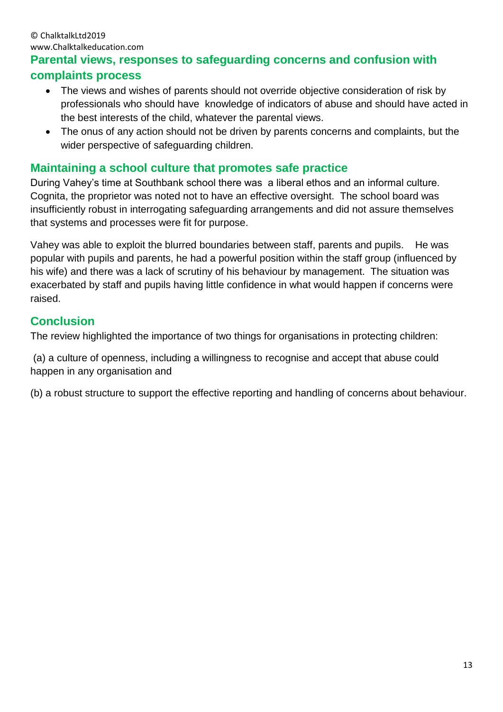#### © ChalktalkLtd2019 www.Chalktalkeducation.com

### <span id="page-12-0"></span>**Parental views, responses to safeguarding concerns and confusion with complaints process**

- The views and wishes of parents should not override objective consideration of risk by professionals who should have knowledge of indicators of abuse and should have acted in the best interests of the child, whatever the parental views.
- The onus of any action should not be driven by parents concerns and complaints, but the wider perspective of safeguarding children.

### <span id="page-12-1"></span>**Maintaining a school culture that promotes safe practice**

During Vahey's time at Southbank school there was a liberal ethos and an informal culture. Cognita, the proprietor was noted not to have an effective oversight. The school board was insufficiently robust in interrogating safeguarding arrangements and did not assure themselves that systems and processes were fit for purpose.

Vahey was able to exploit the blurred boundaries between staff, parents and pupils. He was popular with pupils and parents, he had a powerful position within the staff group (influenced by his wife) and there was a lack of scrutiny of his behaviour by management. The situation was exacerbated by staff and pupils having little confidence in what would happen if concerns were raised.

### <span id="page-12-2"></span>**Conclusion**

The review highlighted the importance of two things for organisations in protecting children:

(a) a culture of openness, including a willingness to recognise and accept that abuse could happen in any organisation and

(b) a robust structure to support the effective reporting and handling of concerns about behaviour.